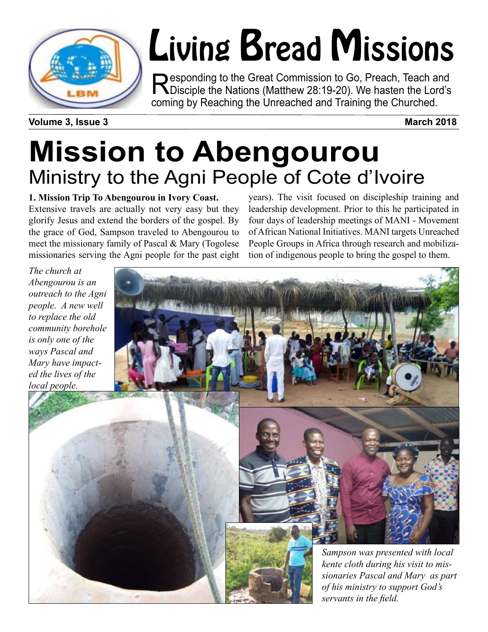

# Living Bread Missions

Responding to the Great Commission to Go, Preach, Teach and<br>
Disciple the Nations (Matthew 28:19-20). We hasten the Lord's coming by Reaching the Unreached and Training the Churched.

**Volume 3, Issue 3** March 2018

## **Mission to Abengourou** Ministry to the Agni People of Cote d'Ivoire

#### **1. Mission Trip To Abengourou in Ivory Coast.**

Extensive travels are actually not very easy but they glorify Jesus and extend the borders of the gospel. By the grace of God, Sampson traveled to Abengourou to meet the missionary family of Pascal & Mary (Togolese missionaries serving the Agni people for the past eight years). The visit focused on discipleship training and leadership development. Prior to this he participated in four days of leadership meetings of MANI - Movement of African National Initiatives. MANI targets Unreached People Groups in Africa through research and mobilization of indigenous people to bring the gospel to them.

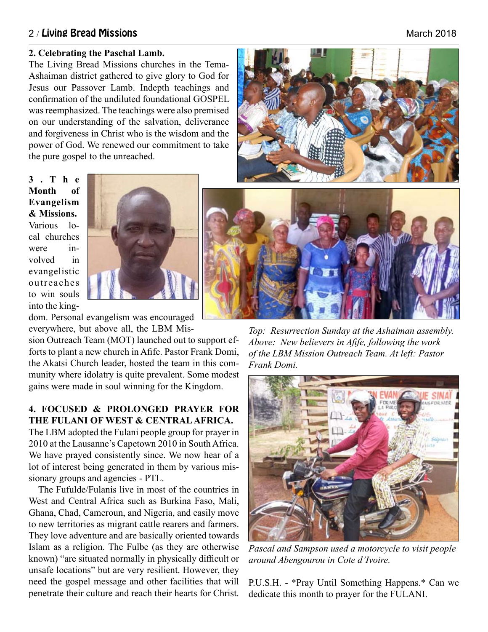#### 2 / Living Bread Missions **March 2018** March 2018

#### **2. Celebrating the Paschal Lamb.**

The Living Bread Missions churches in the Tema-Ashaiman district gathered to give glory to God for Jesus our Passover Lamb. Indepth teachings and confirmation of the undiluted foundational GOSPEL was reemphasized. The teachings were also premised on our understanding of the salvation, deliverance and forgiveness in Christ who is the wisdom and the power of God. We renewed our commitment to take the pure gospel to the unreached.

**3 . T h e Month of Evangelism & Missions.** Various local churches were involved in evangelistic outreaches to win souls into the king-



dom. Personal evangelism was encouraged everywhere, but above all, the LBM Mis-

sion Outreach Team (MOT) launched out to support efforts to plant a new church in Afife. Pastor Frank Domi, the Akatsi Church leader, hosted the team in this community where idolatry is quite prevalent. Some modest gains were made in soul winning for the Kingdom.

#### **4. FOCUSED & PROLONGED PRAYER FOR THE FULANI OF WEST & CENTRAL AFRICA.**

The LBM adopted the Fulani people group for prayer in 2010 at the Lausanne's Capetown 2010 in South Africa. We have prayed consistently since. We now hear of a lot of interest being generated in them by various missionary groups and agencies - PTL.

The Fufulde/Fulanis live in most of the countries in West and Central Africa such as Burkina Faso, Mali, Ghana, Chad, Cameroun, and Nigeria, and easily move to new territories as migrant cattle rearers and farmers. They love adventure and are basically oriented towards Islam as a religion. The Fulbe (as they are otherwise known) "are situated normally in physically difficult or unsafe locations" but are very resilient. However, they need the gospel message and other facilities that will penetrate their culture and reach their hearts for Christ.



*Top: Resurrection Sunday at the Ashaiman assembly. Above: New believers in Afife, following the work of the LBM Mission Outreach Team. At left: Pastor Frank Domi.* 



*Pascal and Sampson used a motorcycle to visit people around Abengourou in Cote d'Ivoire.*

P.U.S.H. - \*Pray Until Something Happens.\* Can we dedicate this month to prayer for the FULANI.